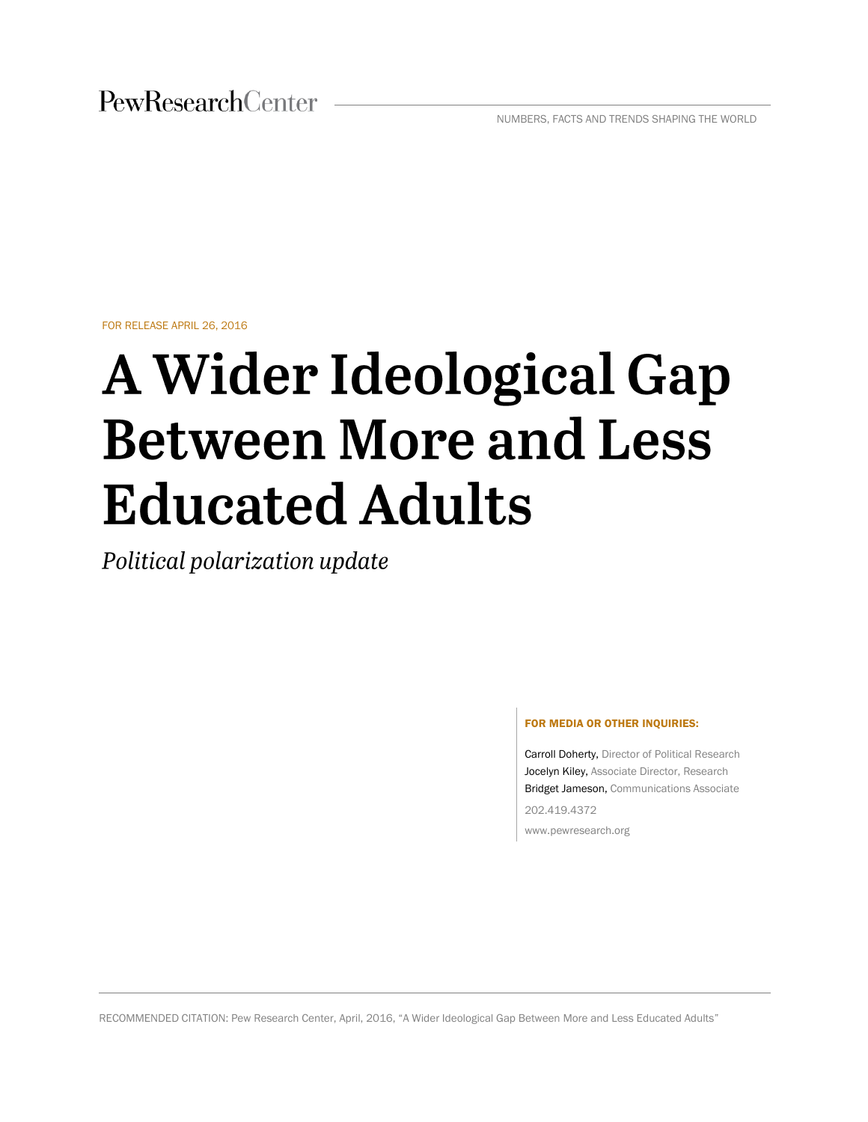PewResearchCenter

NUMBERS, FACTS AND TRENDS SHAPING THE WORLD

FOR RELEASE APRIL 26, 2016

# **A Wider Ideological Gap Between More and Less Educated Adults**

Political polarization update

#### FOR MEDIA OR OTHER INQUIRIES:

Carroll Doherty, Director of Political Research Jocelyn Kiley, Associate Director, Research Bridget Jameson, Communications Associate 202.419.4372

www.pewresearch.org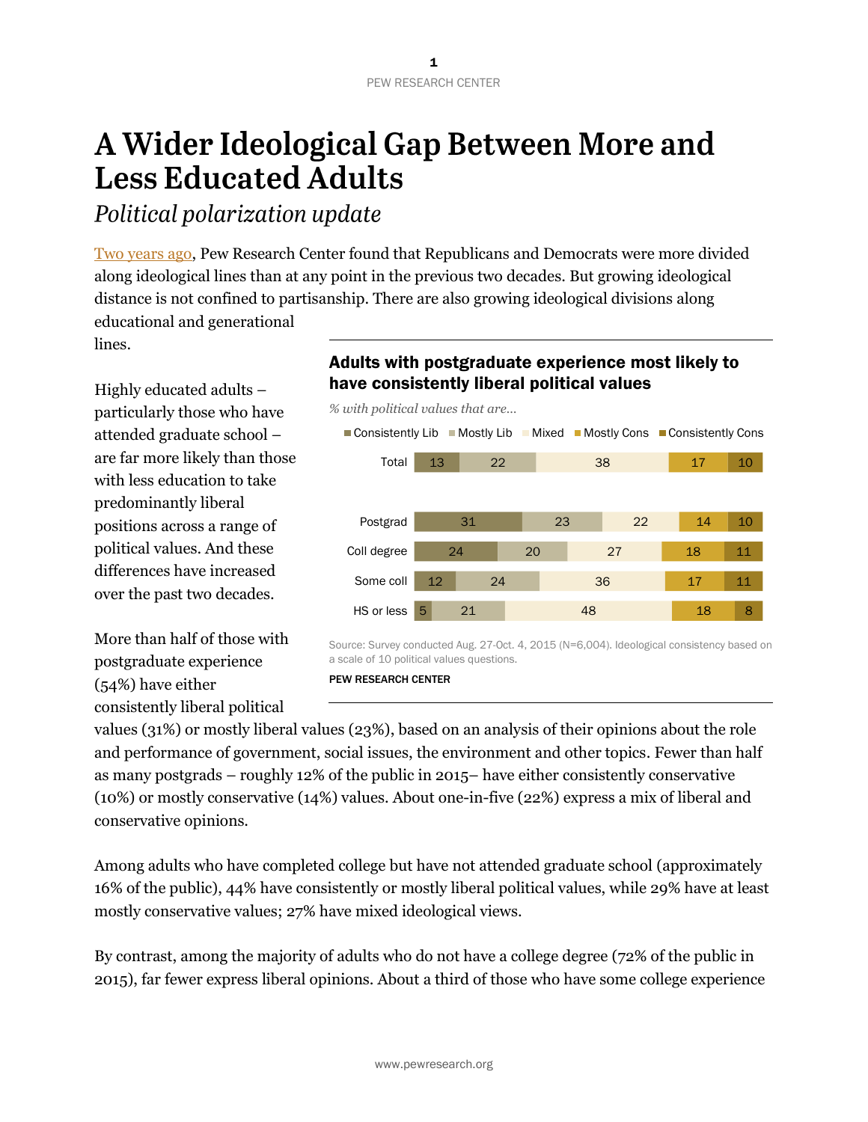## A Wider Ideological Gap Between More and **Less Educated Adults**

Political polarization update

[Two years ago,](http://www.people-press.org/2014/06/12/political-polarization-in-the-american-public/) Pew Research Center found that Republicans and Democrats were more divided along ideological lines than at any point in the previous two decades. But growing ideological distance is not confined to partisanship. There are also growing ideological divisions along educational and generational

lines.

Highly educated adults – particularly those who have attended graduate school – are far more likely than those with less education to take predominantly liberal positions across a range of political values. And these differences have increased over the past two decades.

More than half of those with postgraduate experience (54%) have either consistently liberal political

## Adults with postgraduate experience most likely to have consistently liberal political values

*% with political values that are…*



Source: Survey conducted Aug. 27-Oct. 4, 2015 (N=6,004). Ideological consistency based on a scale of 10 political values questions.

PEW RESEARCH CENTER

values (31%) or mostly liberal values (23%), based on an analysis of their opinions about the role and performance of government, social issues, the environment and other topics. Fewer than half as many postgrads – roughly 12% of the public in 2015– have either consistently conservative (10%) or mostly conservative (14%) values. About one-in-five (22%) express a mix of liberal and conservative opinions.

Among adults who have completed college but have not attended graduate school (approximately 16% of the public), 44% have consistently or mostly liberal political values, while 29% have at least mostly conservative values; 27% have mixed ideological views.

By contrast, among the majority of adults who do not have a college degree (72% of the public in 2015), far fewer express liberal opinions. About a third of those who have some college experience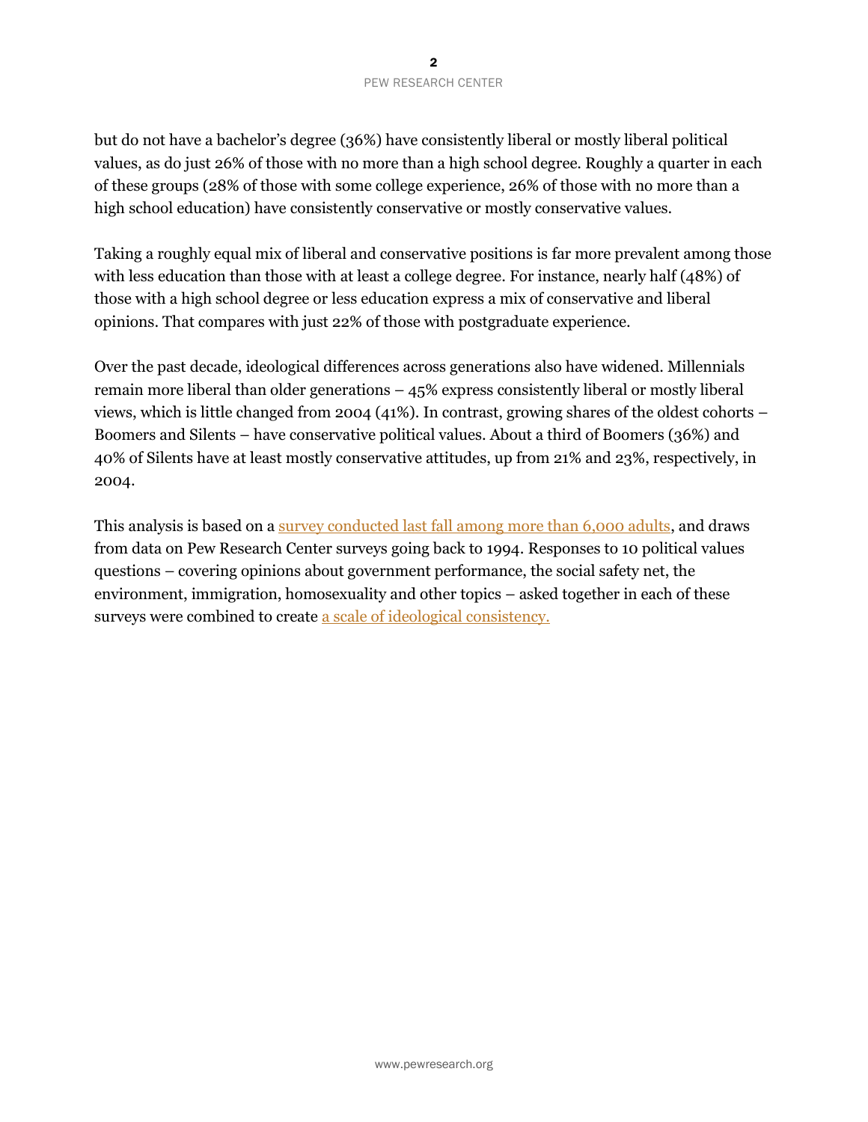#### 2 PEW RESEARCH CENTER

but do not have a bachelor's degree (36%) have consistently liberal or mostly liberal political values, as do just 26% of those with no more than a high school degree. Roughly a quarter in each of these groups (28% of those with some college experience, 26% of those with no more than a high school education) have consistently conservative or mostly conservative values.

Taking a roughly equal mix of liberal and conservative positions is far more prevalent among those with less education than those with at least a college degree. For instance, nearly half (48%) of those with a high school degree or less education express a mix of conservative and liberal opinions. That compares with just 22% of those with postgraduate experience.

Over the past decade, ideological differences across generations also have widened. Millennials remain more liberal than older generations – 45% express consistently liberal or mostly liberal views, which is little changed from 2004 (41%). In contrast, growing shares of the oldest cohorts – Boomers and Silents – have conservative political values. About a third of Boomers (36%) and 40% of Silents have at least mostly conservative attitudes, up from 21% and 23%, respectively, in 2004.

This analysis is based on a [survey conducted last fall among more than 6,000 adults,](http://www.people-press.org/2015/11/23/beyond-distrust-how-americans-view-their-government/) and draws from data on Pew Research Center surveys going back to 1994. Responses to 10 political values questions – covering opinions about government performance, the social safety net, the environment, immigration, homosexuality and other topics – asked together in each of these surveys were combined to create [a scale of ideological consistency.](http://www.people-press.org/2014/06/12/appendix-a-the-ideological-consistency-scale/)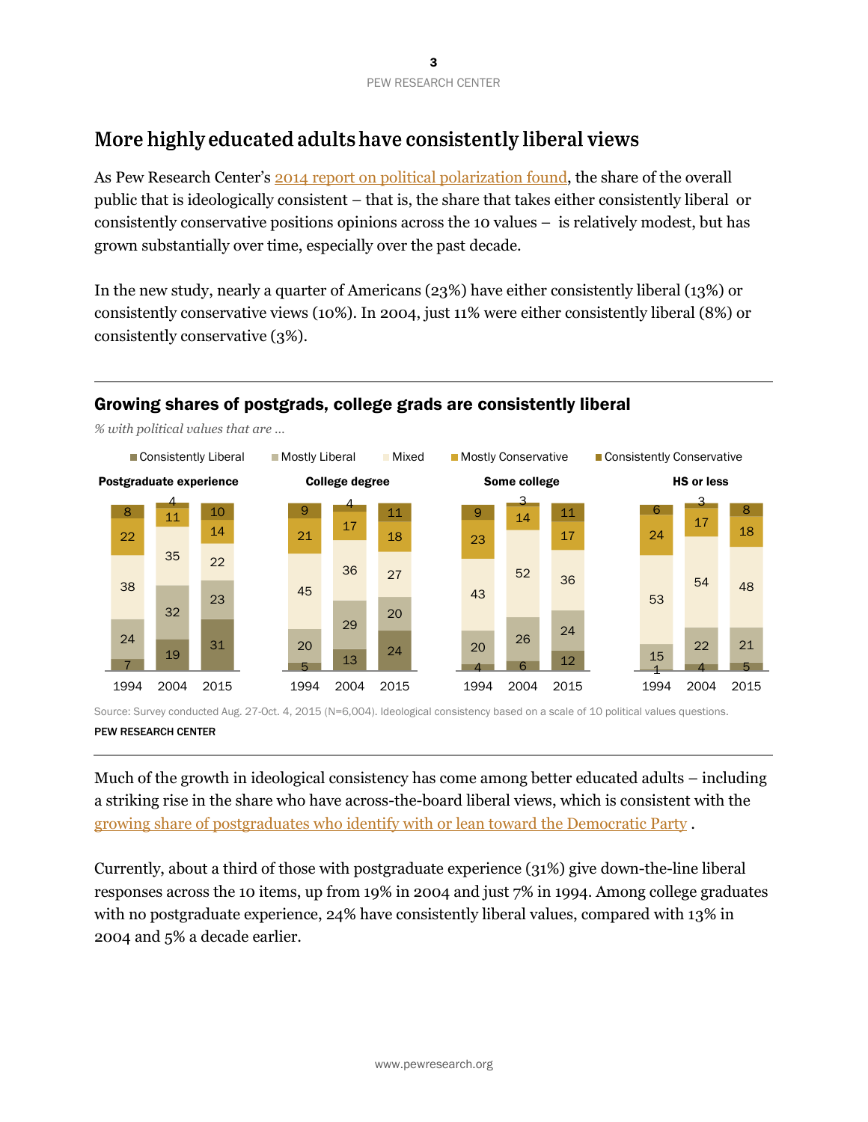## More highly educated adults have consistently liberal views

As Pew Research Center's [2014 report on political polarization](http://www.people-press.org/2014/06/12/political-polarization-in-the-american-public/) found, the share of the overall public that is ideologically consistent – that is, the share that takes either consistently liberal or consistently conservative positions opinions across the 10 values – is relatively modest, but has grown substantially over time, especially over the past decade.

In the new study, nearly a quarter of Americans (23%) have either consistently liberal (13%) or consistently conservative views (10%). In 2004, just 11% were either consistently liberal (8%) or consistently conservative (3%).

## Growing shares of postgrads, college grads are consistently liberal



*% with political values that are …*

Source: Survey conducted Aug. 27-Oct. 4, 2015 (N=6,004). Ideological consistency based on a scale of 10 political values questions.

#### PEW RESEARCH CENTER

Much of the growth in ideological consistency has come among better educated adults – including a striking rise in the share who have across-the-board liberal views, which is consistent with the [growing share of postgraduates who identify with or lean toward](http://www.people-press.org/2015/04/07/a-deep-dive-into-party-affiliation/#party-id-by-race-education) the Democratic Party .

Currently, about a third of those with postgraduate experience (31%) give down-the-line liberal responses across the 10 items, up from 19% in 2004 and just 7% in 1994. Among college graduates with no postgraduate experience, 24% have consistently liberal values, compared with 13% in 2004 and 5% a decade earlier.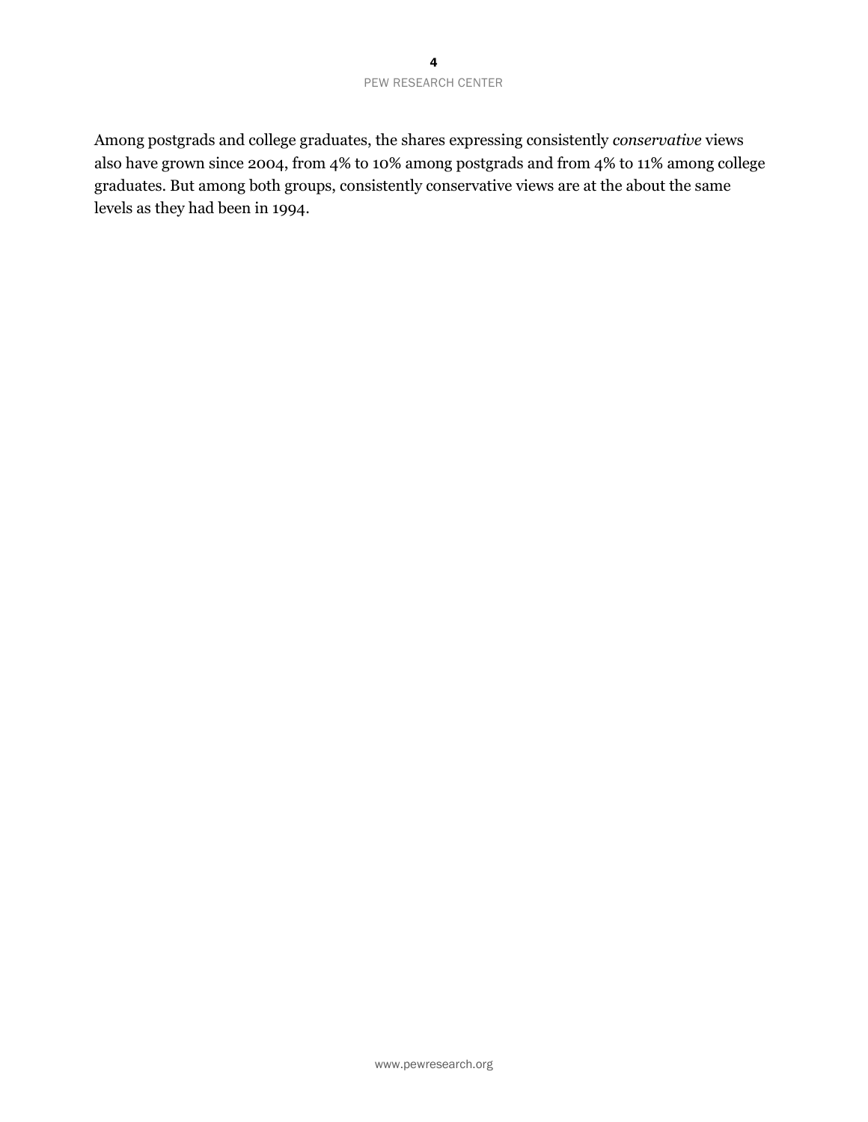Among postgrads and college graduates, the shares expressing consistently *conservative* views also have grown since 2004, from 4% to 10% among postgrads and from 4% to 11% among college graduates. But among both groups, consistently conservative views are at the about the same levels as they had been in 1994.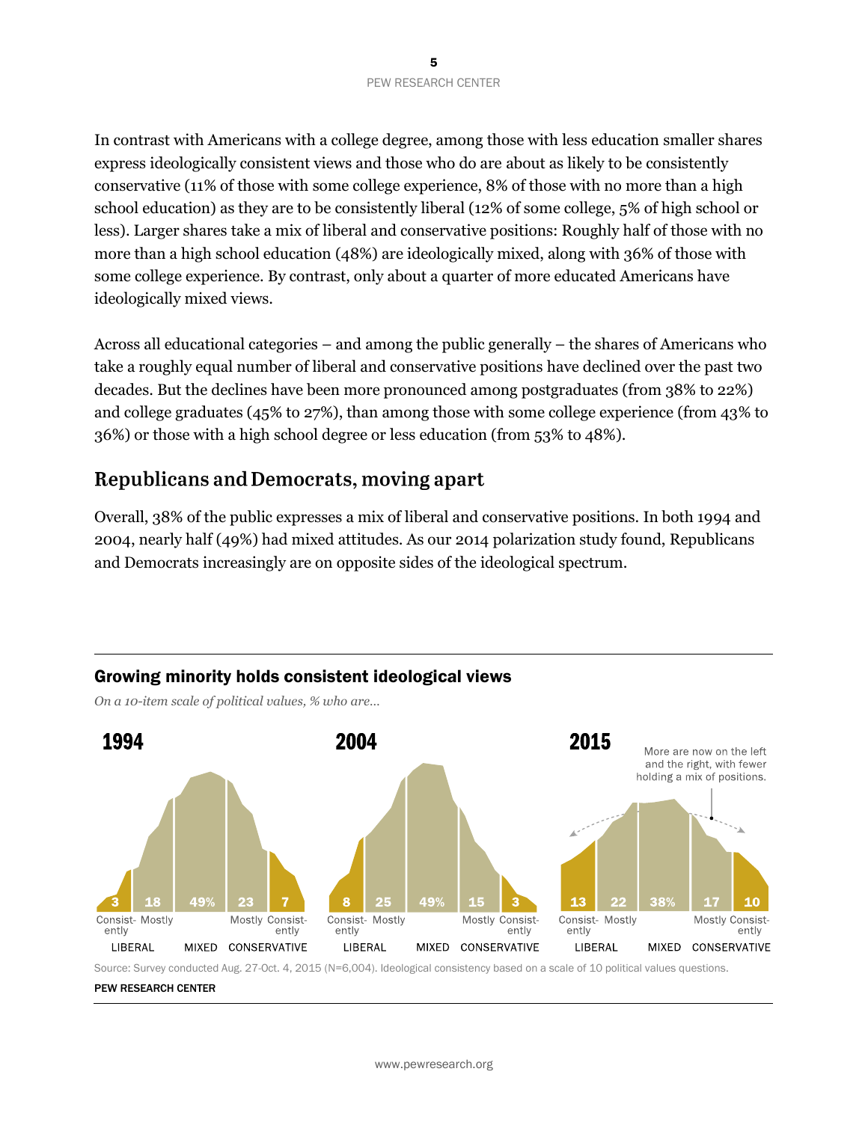In contrast with Americans with a college degree, among those with less education smaller shares express ideologically consistent views and those who do are about as likely to be consistently conservative (11% of those with some college experience, 8% of those with no more than a high school education) as they are to be consistently liberal (12% of some college, 5% of high school or less). Larger shares take a mix of liberal and conservative positions: Roughly half of those with no more than a high school education (48%) are ideologically mixed, along with 36% of those with some college experience. By contrast, only about a quarter of more educated Americans have ideologically mixed views.

Across all educational categories – and among the public generally – the shares of Americans who take a roughly equal number of liberal and conservative positions have declined over the past two decades. But the declines have been more pronounced among postgraduates (from 38% to 22%) and college graduates (45% to 27%), than among those with some college experience (from 43% to 36%) or those with a high school degree or less education (from 53% to 48%).

## **Republicans and Democrats, moving apart**

Overall, 38% of the public expresses a mix of liberal and conservative positions. In both 1994 and 2004, nearly half (49%) had mixed attitudes. As our 2014 polarization study found, Republicans and Democrats increasingly are on opposite sides of the ideological spectrum.



## Growing minority holds consistent ideological views

*On a 10-item scale of political values, % who are…*

Source: Survey conducted Aug. 27-Oct. 4, 2015 (N=6,004). Ideological consistency based on a scale of 10 political values questions.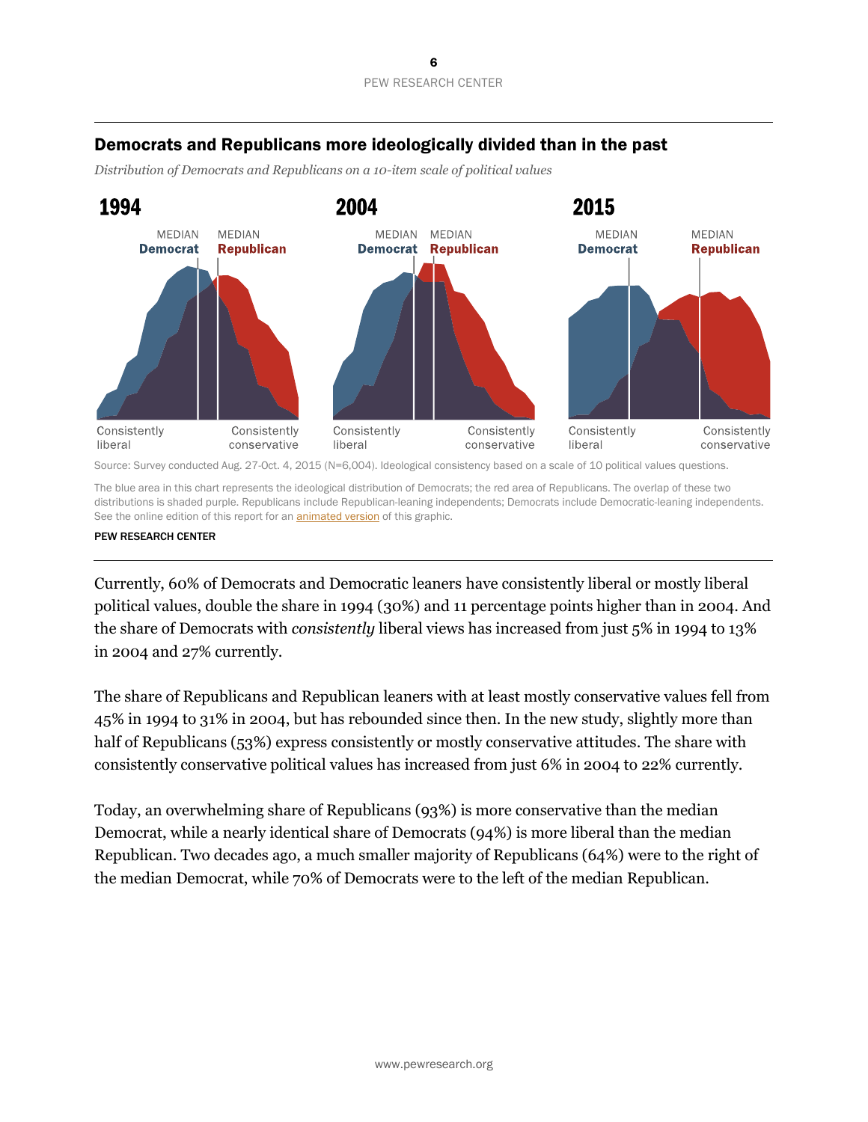## Democrats and Republicans more ideologically divided than in the past

*Distribution of Democrats and Republicans on a 10-item scale of political values*



Source: Survey conducted Aug. 27-Oct. 4, 2015 (N=6,004). Ideological consistency based on a scale of 10 political values questions.

The blue area in this chart represents the ideological distribution of Democrats; the red area of Republicans. The overlap of these two distributions is shaded purple. Republicans include Republican-leaning independents; Democrats include Democratic-leaning independents. See the online edition of this report for an **animated version** of this graphic.

PEW RESEARCH CENTER

Currently, 60% of Democrats and Democratic leaners have consistently liberal or mostly liberal political values, double the share in 1994 (30%) and 11 percentage points higher than in 2004. And the share of Democrats with *consistently* liberal views has increased from just 5% in 1994 to 13% in 2004 and 27% currently.

The share of Republicans and Republican leaners with at least mostly conservative values fell from 45% in 1994 to 31% in 2004, but has rebounded since then. In the new study, slightly more than half of Republicans (53%) express consistently or mostly conservative attitudes. The share with consistently conservative political values has increased from just 6% in 2004 to 22% currently.

Today, an overwhelming share of Republicans (93%) is more conservative than the median Democrat, while a nearly identical share of Democrats (94%) is more liberal than the median Republican. Two decades ago, a much smaller majority of Republicans (64%) were to the right of the median Democrat, while 70% of Democrats were to the left of the median Republican.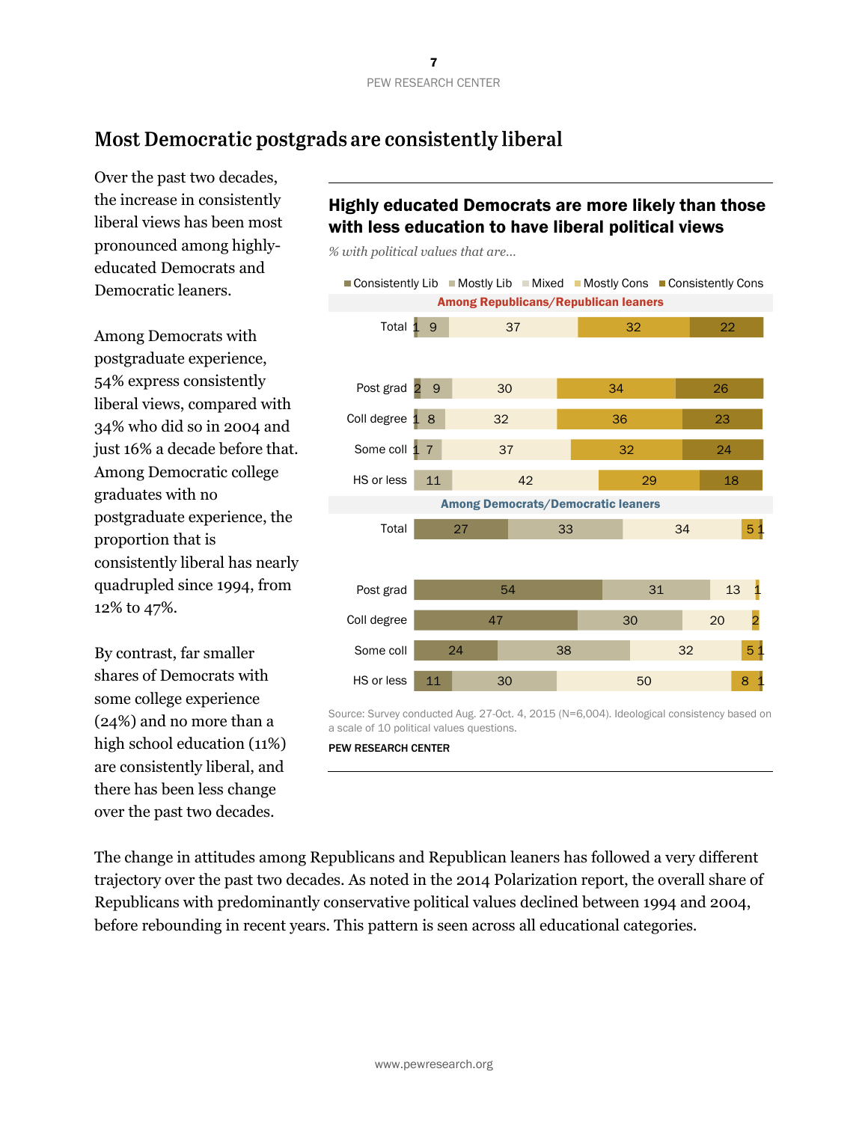## Most Democratic postgrads are consistently liberal

Over the past two decades, the increase in consistently liberal views has been most pronounced among highlyeducated Democrats and Democratic leaners.

Among Democrats with postgraduate experience, 54% express consistently liberal views, compared with 34% who did so in 2004 and just 16% a decade before that. Among Democratic college graduates with no postgraduate experience, the proportion that is consistently liberal has nearly quadrupled since 1994, from 12% to 47%.

By contrast, far smaller shares of Democrats with some college experience (24%) and no more than a high school education (11%) are consistently liberal, and there has been less change over the past two decades.

## Highly educated Democrats are more likely than those with less education to have liberal political views

*% with political values that are…*



Source: Survey conducted Aug. 27-Oct. 4, 2015 (N=6,004). Ideological consistency based on a scale of 10 political values questions.

#### PEW RESEARCH CENTER

The change in attitudes among Republicans and Republican leaners has followed a very different trajectory over the past two decades. As noted in the 2014 Polarization report, the overall share of Republicans with predominantly conservative political values declined between 1994 and 2004, before rebounding in recent years. This pattern is seen across all educational categories.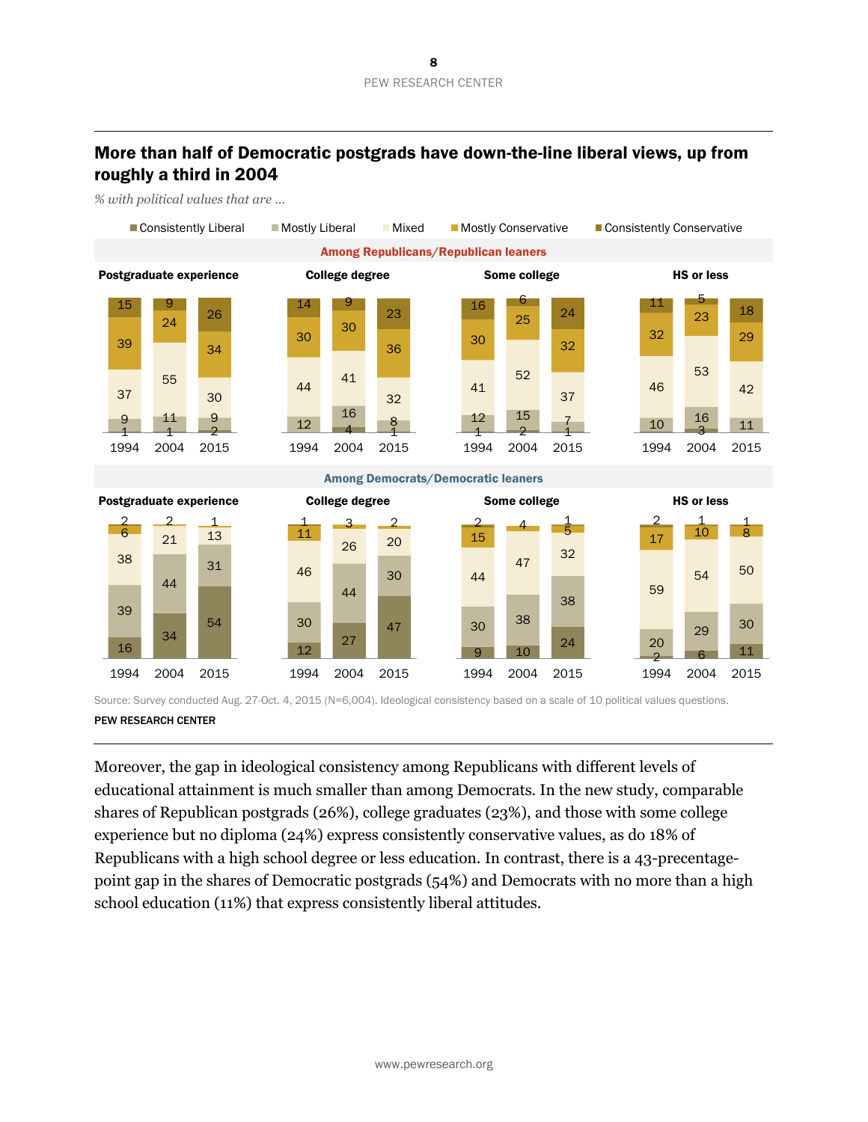## More than half of Democratic postgrads have down-the-line liberal views, up from roughly a third in 2004

*% with political values that are …*



Source: Survey conducted Aug. 27-Oct. 4, 2015 (N=6,004). Ideological consistency based on a scale of 10 political values questions.

#### PEW RESEARCH CENTER

Moreover, the gap in ideological consistency among Republicans with different levels of educational attainment is much smaller than among Democrats. In the new study, comparable shares of Republican postgrads (26%), college graduates (23%), and those with some college experience but no diploma (24%) express consistently conservative values, as do 18% of Republicans with a high school degree or less education. In contrast, there is a 43-precentagepoint gap in the shares of Democratic postgrads (54%) and Democrats with no more than a high school education (11%) that express consistently liberal attitudes.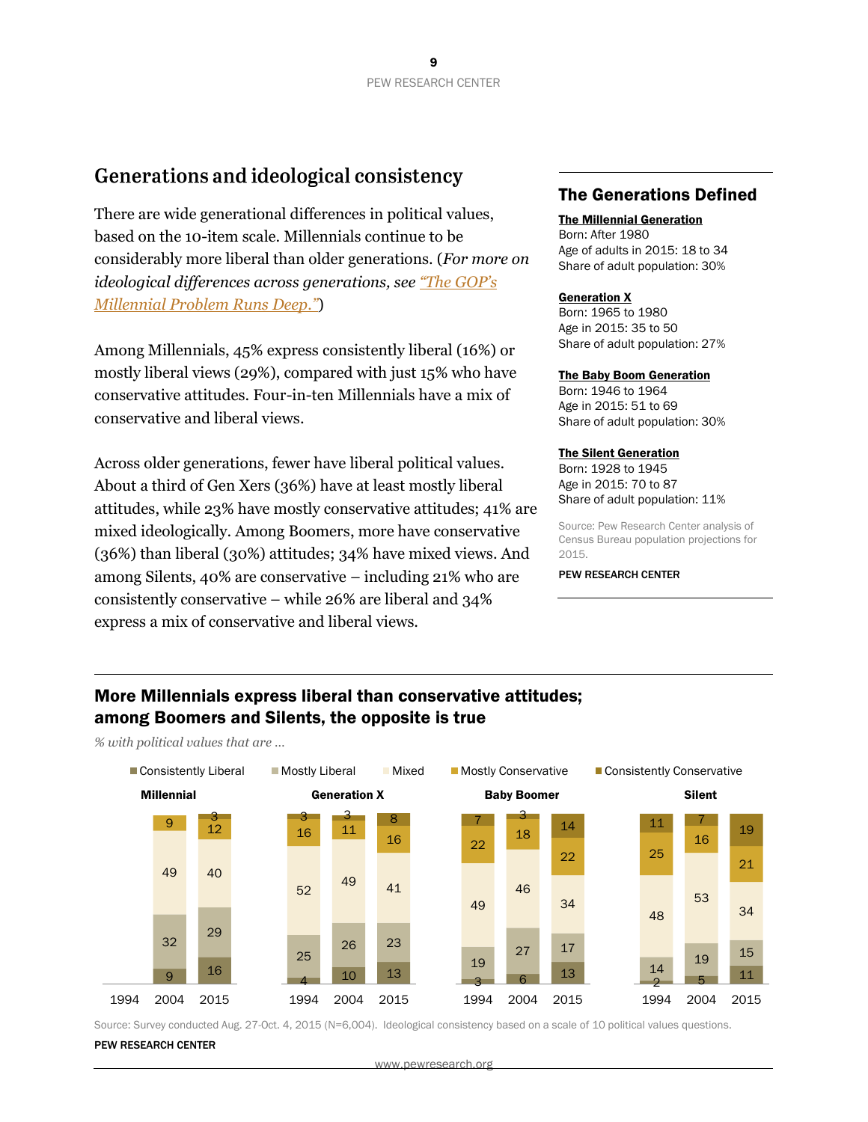## Generations and ideological consistency

There are wide generational differences in political values, based on the 10-item scale. Millennials continue to be considerably more liberal than older generations. (*For more on ideological differences across generations, see "T[he GOP's](http://www.pewresearch.org/fact-tank/2014/09/25/the-gops-millennial-problem-runs-deep/) [Millennial Problem Runs Deep."](http://www.pewresearch.org/fact-tank/2014/09/25/the-gops-millennial-problem-runs-deep/)*)

Among Millennials, 45% express consistently liberal (16%) or mostly liberal views (29%), compared with just 15% who have conservative attitudes. Four-in-ten Millennials have a mix of conservative and liberal views.

Across older generations, fewer have liberal political values. About a third of Gen Xers (36%) have at least mostly liberal attitudes, while 23% have mostly conservative attitudes; 41% are mixed ideologically. Among Boomers, more have conservative (36%) than liberal (30%) attitudes; 34% have mixed views. And among Silents, 40% are conservative – including 21% who are consistently conservative – while 26% are liberal and 34% express a mix of conservative and liberal views.

## The Generations Defined

#### The Millennial Generation

Born: After 1980 Age of adults in 2015: 18 to 34 Share of adult population: 30%

#### **Generation X**

Born: 1965 to 1980 Age in 2015: 35 to 50 Share of adult population: 27%

#### The Baby Boom Generation

Born: 1946 to 1964 Age in 2015: 51 to 69 Share of adult population: 30%

#### The Silent Generation

Born: 1928 to 1945 Age in 2015: 70 to 87 Share of adult population: 11%

Source: Pew Research Center analysis of Census Bureau population projections for 2015.

#### PEW RESEARCH CENTER

## More Millennials express liberal than conservative attitudes; among Boomers and Silents, the opposite is true

*% with political values that are …*



Source: Survey conducted Aug. 27-Oct. 4, 2015 (N=6,004). Ideological consistency based on a scale of 10 political values questions.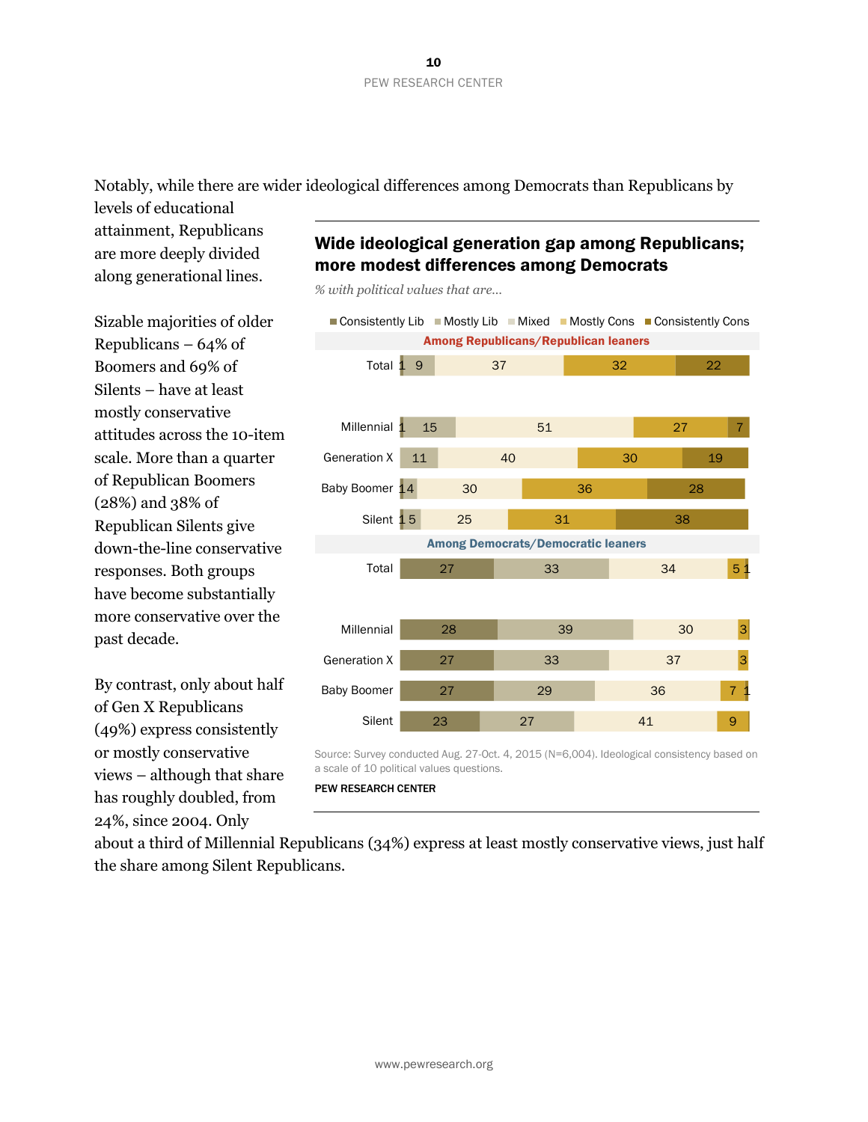Notably, while there are wider ideological differences among Democrats than Republicans by

levels of educational attainment, Republicans are more deeply divided along generational lines.

Sizable majorities of older Republicans – 64% of Boomers and 69% of Silents – have at least mostly conservative attitudes across the 10-item scale. More than a quarter of Republican Boomers (28%) and 38% of Republican Silents give down-the-line conservative responses. Both groups have become substantially more conservative over the past decade.

By contrast, only about half of Gen X Republicans (49%) express consistently or mostly conservative views – although that share has roughly doubled, from 24%, since 2004. Only

## Wide ideological generation gap among Republicans; more modest differences among Democrats

*% with political values that are…*



Source: Survey conducted Aug. 27-Oct. 4, 2015 (N=6,004). Ideological consistency based on a scale of 10 political values questions.

PEW RESEARCH CENTER

about a third of Millennial Republicans (34%) express at least mostly conservative views, just half the share among Silent Republicans.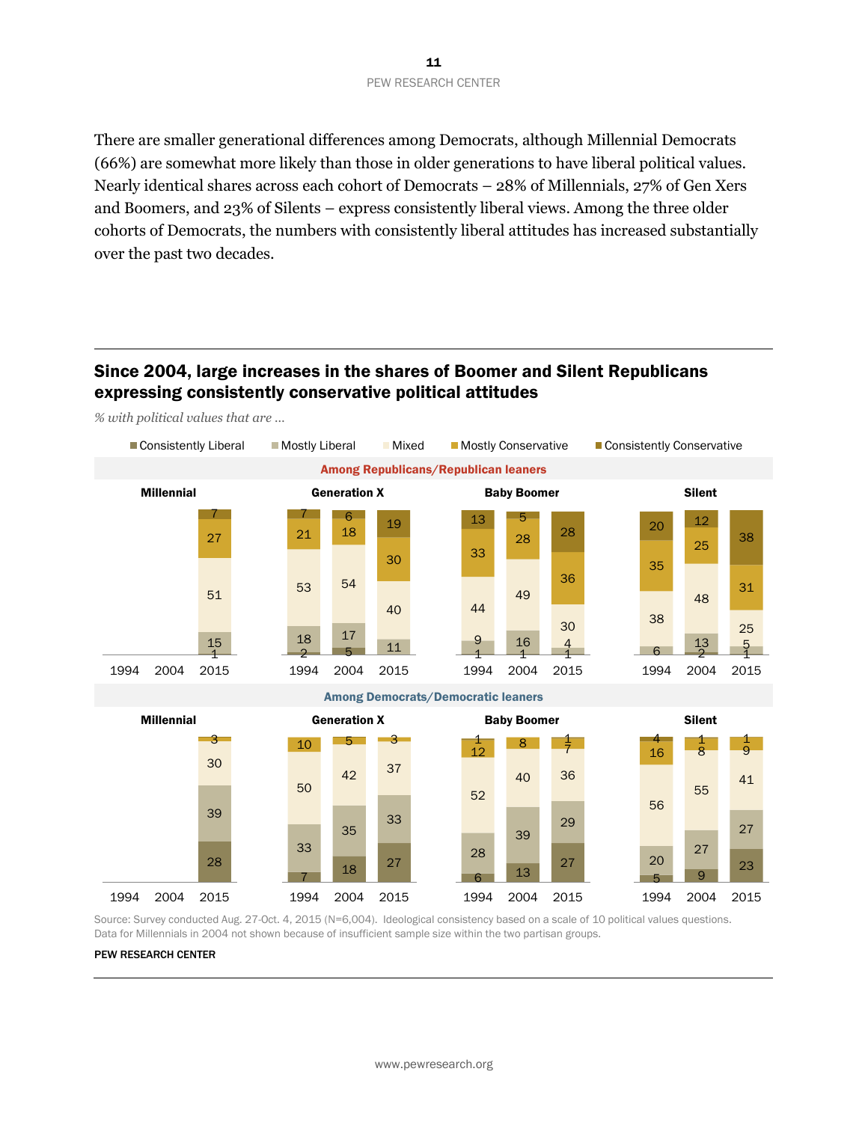There are smaller generational differences among Democrats, although Millennial Democrats (66%) are somewhat more likely than those in older generations to have liberal political values. Nearly identical shares across each cohort of Democrats – 28% of Millennials, 27% of Gen Xers and Boomers, and 23% of Silents – express consistently liberal views. Among the three older cohorts of Democrats, the numbers with consistently liberal attitudes has increased substantially over the past two decades.

## Since 2004, large increases in the shares of Boomer and Silent Republicans expressing consistently conservative political attitudes

*% with political values that are …*



Source: Survey conducted Aug. 27-Oct. 4, 2015 (N=6,004). Ideological consistency based on a scale of 10 political values questions. Data for Millennials in 2004 not shown because of insufficient sample size within the two partisan groups.

2004 2015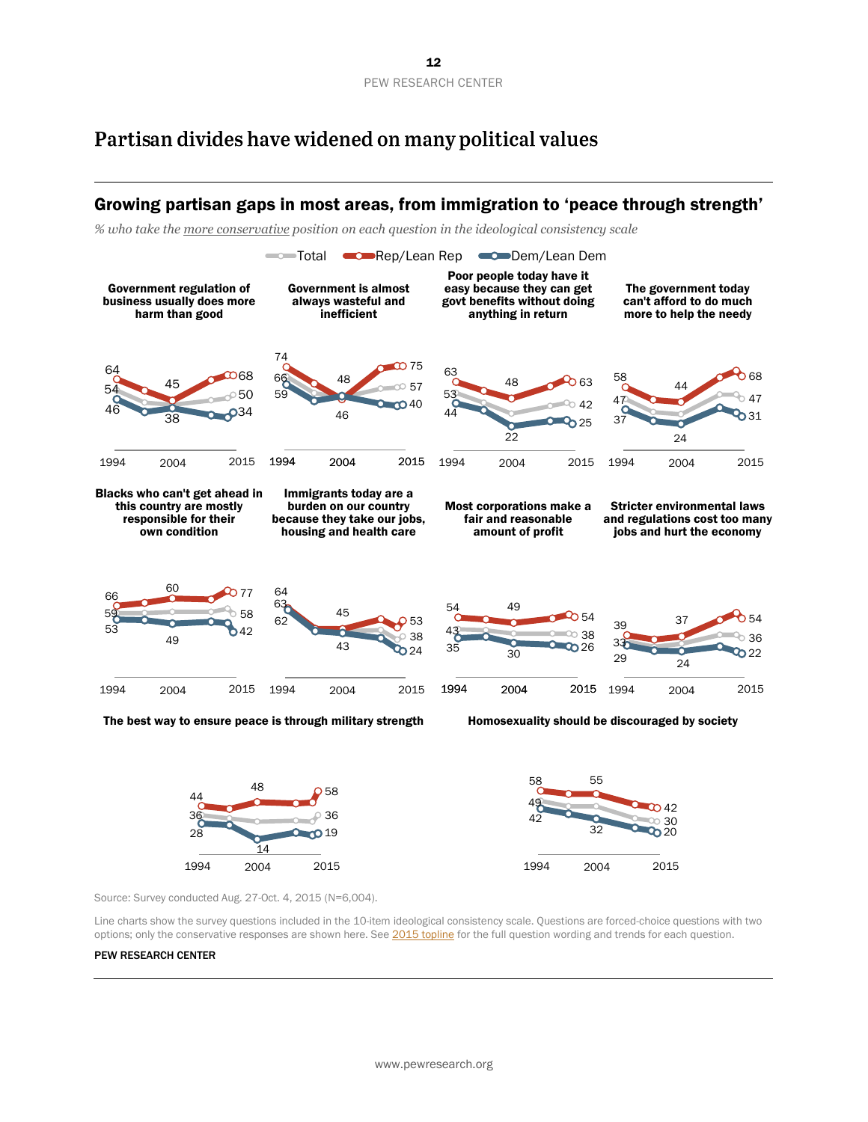## Partisan divides have widened on many political values

#### 53 42 63 48 63 44 22 525 1994 2004 2015 47 47 58 44 568 37 24 31 1994 2004 2015 59 60 58 66 80 0 77 53 49 42 1994 2004 2015 63 43 38 64 45 62 0 53 24 1994 2004 2015 33 36 39 37 0 54  $29 \overline{)24}$  $22$ 1994 2004 2015 36 36 44 48 0 58 28 14 **019** 1994 2004 2015 49 30 58 55 42 42  $32 - 20$ 1994 2004 2015  $\equiv$ Total  $\equiv$ Rep/Lean Rep  $\equiv$ Dem/Lean Dem <sup>54</sup> <sup>50</sup> 64 45 0  $0.68$ 46 <sup>38</sup> <sup>34</sup> 1994 2004 2015 66 57 74 46 75 59 48 40 1994 2004 2015  $\infty$  38 49 54  $35$   $30$   $26$ 1994 2004 2015 Growing partisan gaps in most areas, from immigration to 'peace through strength' *% who take the more conservative position on each question in the ideological consistency scale*  Government regulation of business usually does more harm than good Government is almost always wasteful and inefficient Poor people today have it easy because they can get govt benefits without doing anything in return The government today can't afford to do much more to help the needy Blacks who can't get ahead in this country are mostly responsible for their own condition Immigrants today are a burden on our country because they take our jobs, housing and health care Most corporations make a fair and reasonable amount of profit Stricter environmental laws and regulations cost too many jobs and hurt the economy The best way to ensure peace is through military strength Homosexuality should be discouraged by society Source: Survey conducted Aug. 27-Oct. 4, 2015 (N=6,004).

Line charts show the survey questions included in the 10-item ideological consistency scale. Questions are forced-choice questions with two options; only the conservative responses are shown here. Se[e 2015 topline](http://www.people-press.org/files/2015/11/11-23-2015-Governance-topline-for-release.pdf) for the full question wording and trends for each question.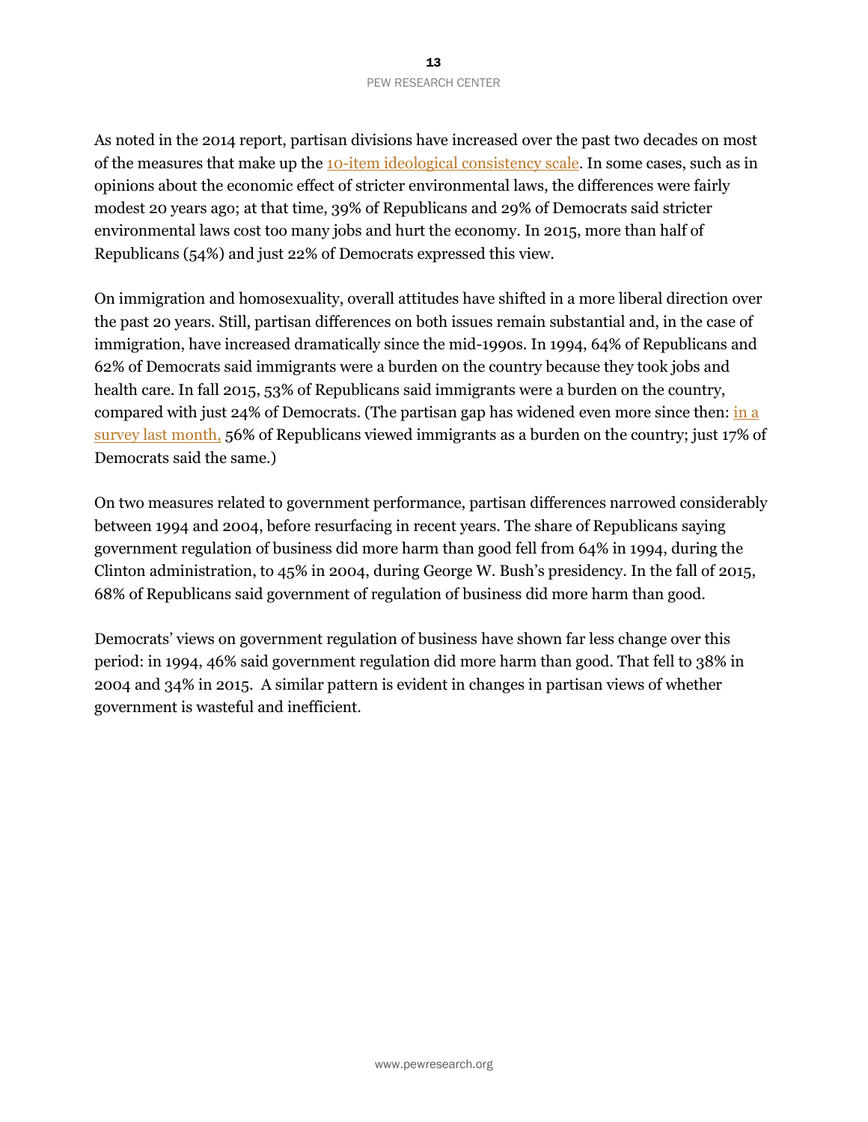As noted in the 2014 report, partisan divisions have increased over the past two decades on most of the measures that make up th[e 10-item ideological consistency scale.](http://www.people-press.org/2014/06/12/appendix-a-the-ideological-consistency-scale/) In some cases, such as in opinions about the economic effect of stricter environmental laws, the differences were fairly modest 20 years ago; at that time, 39% of Republicans and 29% of Democrats said stricter environmental laws cost too many jobs and hurt the economy. In 2015, more than half of Republicans (54%) and just 22% of Democrats expressed this view.

On immigration and homosexuality, overall attitudes have shifted in a more liberal direction over the past 20 years. Still, partisan differences on both issues remain substantial and, in the case of immigration, have increased dramatically since the mid-1990s. In 1994, 64% of Republicans and 62% of Democrats said immigrants were a burden on the country because they took jobs and health care. In fall 2015, 53% of Republicans said immigrants were a burden on the country, compared with just 24% of Democrats. (The partisan gap has widened even more since then:  $\frac{\ln a}{\ln b}$ [survey last month,](http://www.pewresearch.org/fact-tank/2016/04/15/americans-views-of-immigrants-marked-by-widening-partisan-generational-divides/) 56% of Republicans viewed immigrants as a burden on the country; just 17% of Democrats said the same.)

On two measures related to government performance, partisan differences narrowed considerably between 1994 and 2004, before resurfacing in recent years. The share of Republicans saying government regulation of business did more harm than good fell from 64% in 1994, during the Clinton administration, to 45% in 2004, during George W. Bush's presidency. In the fall of 2015, 68% of Republicans said government of regulation of business did more harm than good.

Democrats' views on government regulation of business have shown far less change over this period: in 1994, 46% said government regulation did more harm than good. That fell to 38% in 2004 and 34% in 2015. A similar pattern is evident in changes in partisan views of whether government is wasteful and inefficient.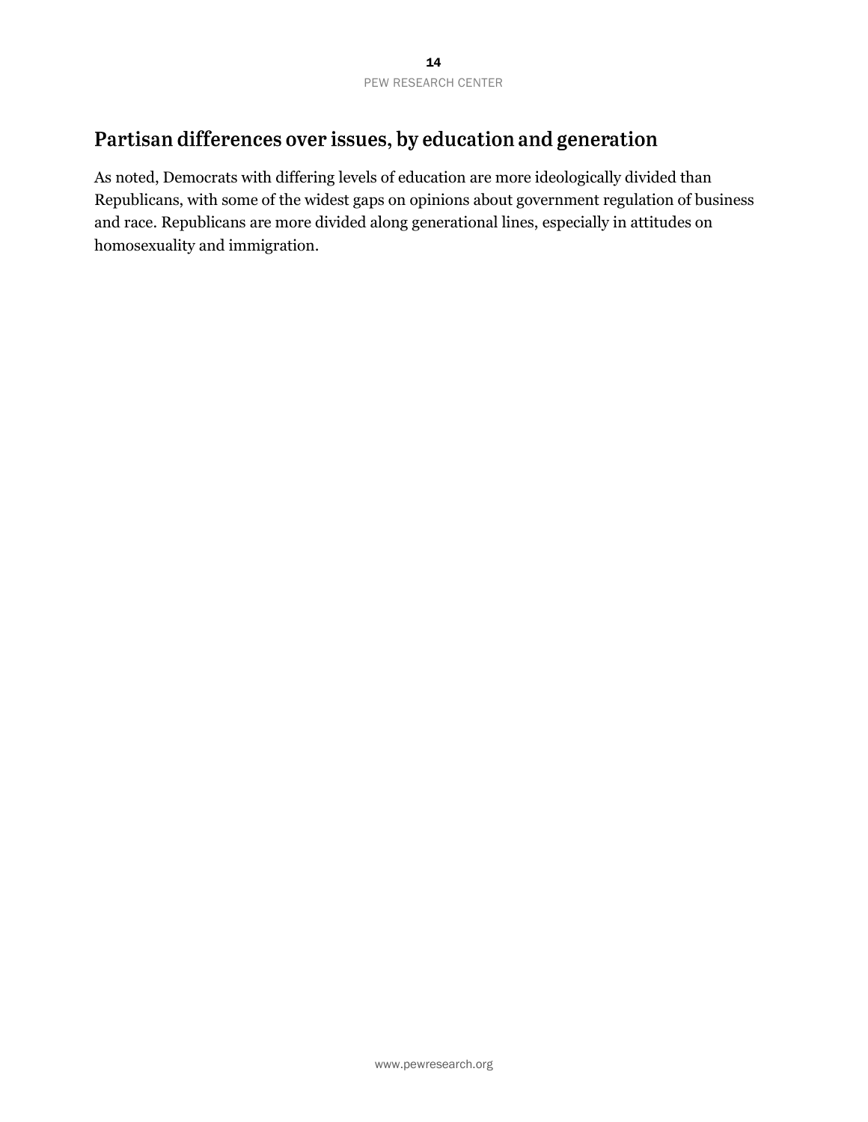## Partisan differences over issues, by education and generation

As noted, Democrats with differing levels of education are more ideologically divided than Republicans, with some of the widest gaps on opinions about government regulation of business and race. Republicans are more divided along generational lines, especially in attitudes on homosexuality and immigration.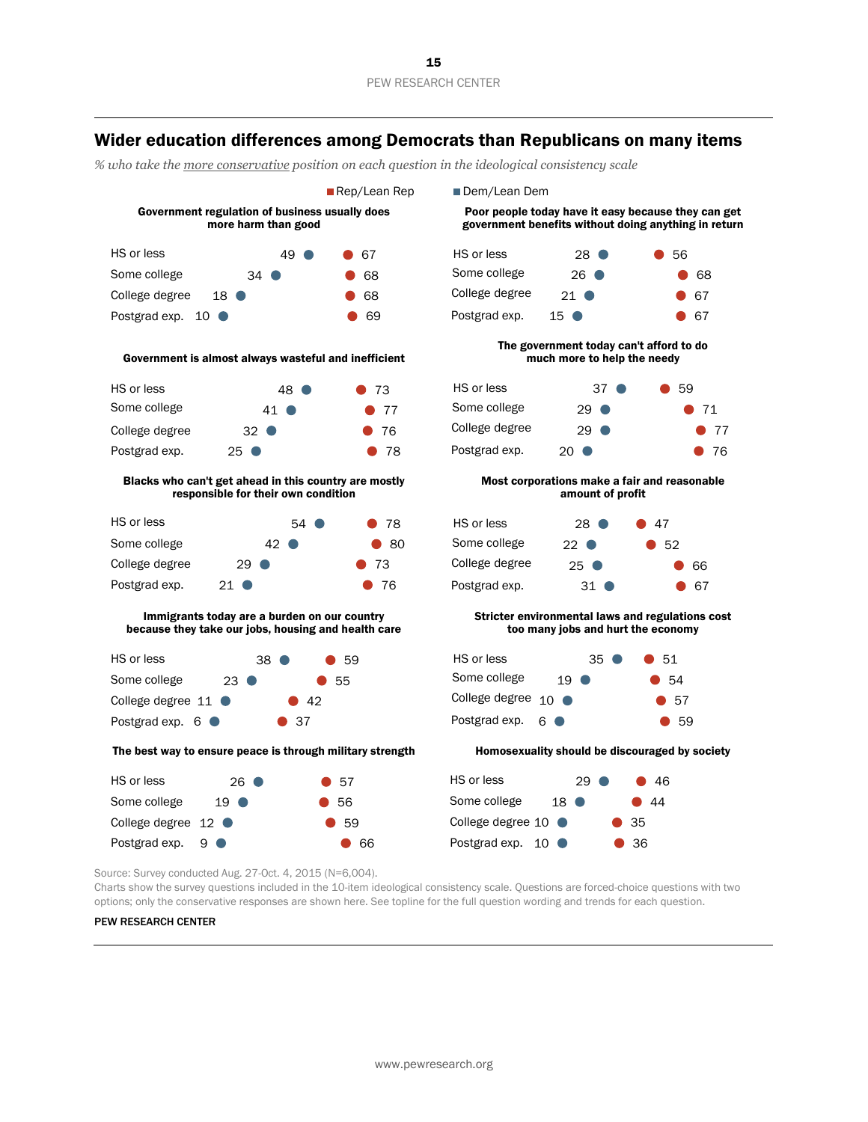### Wider education differences among Democrats than Republicans on many items

*% who take the more conservative position on each question in the ideological consistency scale* 



Charts show the survey questions included in the 10-item ideological consistency scale. Questions are forced-choice questions with two options; only the conservative responses are shown here. See topline for the full question wording and trends for each question.